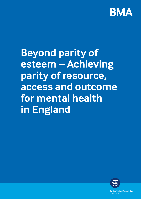

**Beyond parity of esteem – Achieving parity of resource, access and outcome for mental health in England** 



**British Medical Association** bma.org.uk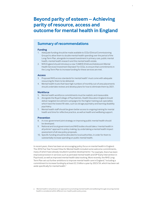# **Beyond parity of esteem – Achieving parity of resource, access and outcome for mental health in England**

1

## **Summary of recommendations**

#### **Funding**

- 1. Adequate funding should be made available to CCGs (Clinical Commissioning Groups) to allow them to double mental health spending over the period of the Long-Term Plan, alongside increased investment in primary care, public mental health, mental health research and the mental health estate.
- 2. NHS England should introduce a new 'CAMHS (Child and Adolescent Mental Health Services) Investment Standard' for CCGs, to ensure that commitments in the Long-Term Plan to increase funding for these services are met.

#### **Access**

- 3. Proposed NHS access standards for mental health<sup>1</sup> must come with adequate resourcing for them to be delivered.
- 4. Mental health trusts that have high numbers of monthly out-of-area placements should undertake reviews and develop plans for how to eliminate them by 2021.

### **Workforce**

- 5. Mental health workforce commitments must be realistic and measurable.
- 6. Alongside the Royal College of Psychiatrists, Health Education England should deliver targeted recruitment campaigns for the higher training sub-specialties which have the lowest fill rates, such as old age psychiatry and learning disability psychiatry.
- 7. Mental health staff should be given better access to ongoing training for mental health and time for reflective practice, as well as health and wellbeing support.

#### **Prevention**

- 8. A cross-government joint strategy on improving public mental health should be developed.
- 9. National and local government and NHS bodies should take a 'mental health in all policies'<sup>a</sup> approach to policy making, by undertaking a mental health impact assessment of all new policy proposals.
- 10. Specific funding should be allocated to local authorities, in order for them to substantially increase spending on public mental health.

In recent years, there has been an encouraging policy focus on mental health in England. The 2016 Five Year Forward View for Mental Health included some welcome commitments, many of which have already resulted in positive developments.<sup>2</sup> For example, there has been improved provision in services such as perinatal mental health and EIP (Early Intervention in Psychosis), as well as improved mental health data tracking. More recently, the NHS Long-Term Plan set out further ambitions to improve mental health care in England,<sup>3</sup> including a commitment to increase funding by at least £2.3 billion a year by 2023/24, which has been set aside specifically for mental health.<sup>4</sup>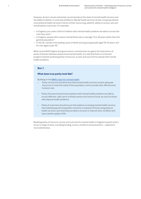However, doctors remain extremely concerned about the state of mental health services and the ability to deliver on some key ambitions. Mental health services remain a long way behind most physical health services in terms of their resourcing, patients' ability to access care and overall patient outcomes. For example:

- In England, just under a third of children with mental health problems are able to access the care they need.<sup>5</sup>
- In England, people with a severe mental illness die on average 15 to 20 years earlier than the general population.6
- In the UK, suicide is the leading cause of death among young people aged 20-34 years, and for men aged under 50.7

While recent NHS England and government commitments recognise the importance of parity of esteem between physical and mental health, it is vital that there is continued progress towards achieving parity of resource, access and outcome for people with mental health problems.

### **Box 1.**

### **What does true parity look like?**

Building on the [BMA's vision for mental health](https://www.bma.org.uk/-/media/files/pdfs/collective%20voice/policy%20research/public%20and%20population%20health/mental%20health/bma-vision-for-mental-health-apr2017.pdf?la=en):

- Parity of resource should ensure that mental health services receive adequate resources to meet the needs of the population, and to provide safe, effective and humane care.
- Parity of access should ensure patients with mental health problems are able to access effective, safe care in a timely manner and close to home, as much as those with physical health problems.
- Parity of outcomes should ensure that patients accessing mental health services have relatively good/comparable outcomes compared to those using physical health services, such that they are able to recover or improve their condition and have a better quality of life.

Realising parity of resource, access and outcome for mental health in England requires action across a range of areas, including funding, access, workforce and prevention – explored in more detail below.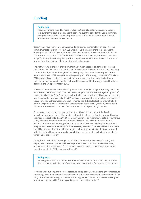## **Funding**

#### **Policy ask:**

Adequate funding should be made available to CCGs (Clinical Commissioning Groups) to allow them to double mental health spending over the period of the Long-Term Plan, alongside increased investment in primary care, public mental health, mental health research and the mental health estate.

Recent years have seen some increased funding allocated to mental health, as part of the commitments to parity of esteem. CCGs (who receive the largest share of mental health funding) spent 13.8% of their total budget allocation on mental health services in 2018/19.<sup>8</sup> This was an increase from 13.1% in 2015/16.<sup>8</sup> While this is an increase, it is modest and does not go far enough in reversing the historical underinvestment in mental health compared to physical health services and delivering true parity of resource.

The staff working in the NHS are well aware of how much needs to be done to address this shortfall and begin to meet demand. In 2019 the BMA asked healthcare professionals working in mental health, whether they agreed there was parity of resource between physical and mental health, with 23% of respondents disagreeing and 56% strongly disagreeing.<sup>9</sup> Similarly, 72% strongly disagreed that changes to funding levels over the last two years had been sufficient to meet demand – mental health problems account for the single largest burden of disease in the UK (approximately 28%).<sup>10</sup>

Nine out of ten adults with mental health problems are currently managed in primary care.11 The BMA believes that at least 11% of the total health budget should be invested in general practice<sup>12</sup> – currently it is around 8.1%. For mental health, this increased funding could ensure more mental health workers being employed within GP practices in a preventative approach, which should also be supported by further investment in public mental health. It could also help ensure that other parts of the primary care workforce that support mental health are fully staffed (such as health visitors and nurses) and promote further investment in social prescribing schemes.

Primary care is not the only area where investment is needed to reverse this historical underfunding. Another area is the mental health estate, where care is often provided in dated and inappropriate buildings. A 2018 Care Quality Commission report found details of numerous safety incidents related to poor infrastructure.<sup>13</sup> Despite this, investment in the mental health estate has often been neglected - for example, in the recent NHS capital investment programme.14 As recommended by Sir Simon Wessley's review of the Mental Health Act, there should be increased investment in the mental health estate such that patients are provided with dignified and humane surroundings while they receive mental health treatment, that is conducive to their recovery.

Finally, it is important that funding for mental health research is increased. Currently only £9 per person affected by mental illness is spent each year, which has remained relatively unchanged in the last decade.15 This contrasts to cancer research for example, where total spending equates to £288 per person affected.<sup>16</sup>

#### **Policy ask:**

NHS England should introduce a new 'CAMHS Investment Standard' for CCGs, to ensure that commitments in the Long-Term Plan to increase funding for these services are met.

Historical underfunding and increased pressure have placed CAMHS under significant pressure and struggling to meet demand in recent years. We therefore welcome the commitment in the Long Term Plan that funding for children and young people's mental health services will grow faster than both overall NHS funding and total mental health spending.<sup>3</sup>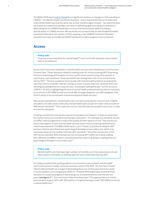The BMA's 2018 report *[Lost in Transit](https://www.bma.org.uk/collective-voice/policy-and-research/public-and-population-health/mental-health/funding-mental-health-services)* found significant variation in changes to CCG spending on CAMHS.17 The Mental Health Investment Standard - which required all CCGs to increase their total mental health spend at the same rate as their overall budget increase – has demonstrated the impact an investment standard can have on delivering against funding commitments.<sup>8</sup> Replicating this for CAMHS would help to ensure that the promised uplift in funding is directly spent on CAMHS services. We would also recommend that, as with the Mental Health Investment Standard, the number of CCGs meeting a new 'CAMHS Investment Standard' should be recorded on the Mental Health Dashboard, to allow progress to be monitored.

## **Access**

#### **Policy ask:**

Proposed access standards for mental health<sup>18</sup> must come with adequate resourcing for them to be delivered.

Some of the first access standards in mental health services were established in the Five Year Forward View.<sup>2</sup> These standards related to waiting times for those accessing IAPT (Improving Access to Psychological Therapies) services, and for those experiencing a first episode of psychosis to start treatment. These standards have already been met or are on track to be met by 2021.17 This has resulted in more people with mental health problems accessing the care they need in a timelier manner, moving us closer to parity of access. However, there are still lengthy waiting times for many services, including for talking therapy<sup>19</sup> and for access to CAMHS.20 As well as highlighting the view of mental health professionals that there is not parity of resources, a 2019 BMA survey found that 48% strongly disagreed, and 28% disagreed, that there is parity of access between mental and physical health services.<sup>9</sup>

New access standards for mental health have now been proposed for crisis services, CAMHS, and adults and older adult community mental health teams as part of a wider clinical review of NHS access standards.<sup>17</sup> This is welcome, but it is vital that they are properly resourced, in order to meet the standards.

Funding commitments should also extend to evaluation and research, to help to understand the impact that access standards are having in pilot areas.<sup>21</sup> For example, the standards should not affect clinical judgement or reduce the quality of other aspects of care. They should not lead to the neglect of other mental health services due to resources being reprioritised to meet those standards. The BMA's 2018 report, Lost in Transit, found that funding for IAPT services had been prioritised over psychological therapies in secondary care, which may have been driven by the need to meet the IAPT standards.<sup>16</sup> Since the introduction of the IAPT access standard, 89% of people are now accessing IAPT within the 6-week waiting time. Whereas the BMA's research indicated that there were long delays in waiting times for psychological therapies in secondary care.22

#### **Policy ask:**

Mental health trusts that have high numbers of monthly out-of-area placements should have reviews undertaken, to develop plans for how to eliminate them by 2021.

It is widely accepted that sending patients out of area for acute inpatient mental health care is both worse for health outcomes and also costly for the NHS. The Five Year Forward View for Mental Health set a target of eliminating these out-of-area placements for adults in acute inpatient care in England by 2020/21.<sup>2</sup> However NHS Digital data show that there has been no sustained progress in eliminating out-of-area placements over the last two years (**see figure 1**).23 The most recent data show there were 710 inappropriate out-of-area placements in August 2019, with 305 patients in England having to travel 100-200km to access a mental health bed.<sup>24</sup>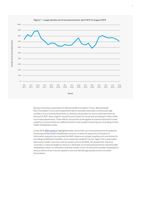

**Number of out of area placements**

Number of out of area placements

**Figure 1 – inappropriate out of area placements, April 2017 to August 2019**

Reviews should be undertaken for Mental Health Foundation Trusts, Mental Health Non-Foundation Trusts and Independent Sector providers that have continuously high numbers of out-of-area placements, to develop robust plans for how to eliminate them by the end of 2021. More support should be put in place for those that are failing to reduce their out-of-area placements. These efforts should also sit alongside increased investment in bed capacity, to ensure there are sufficient beds for every patient requiring one, including mental health rehabilitation beds.

In July 2019, [BMA research](https://www.bma.org.uk/news/2019/june/warehoused-seriously-ill-patients-sent-far-from-home-to-locked-private-wards) highlighted wider issues with out of area placements for patients accessing mental health rehabilitation services. A series of responses to Freedom of Information requests documented the NHS' reliance on private hospitals and care homes for providing rehabilitation facilities, hours away from patient's homes. Again, this is associated with poorer health outcomes and increased costs to the NHS. Yet despite this, there are currently no national targets to reduce or eliminate out of area placements for mental health rehabilitation beds. It is therefore vital that reviews of out-of-area beds consider rehabilitation beds as well as those in acute inpatient care and identify appropriate actions to tackle this problem.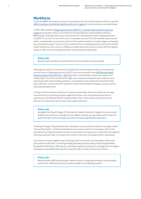## **Workforce**

To see the BMA's full analysis and recommendations for the mental health workforce, see the *[BMA's briefing on the Mental health workforce in England](https://www.bma.org.uk/collective-voice/policy-and-research/education-training-and-workforce/mental-health-workforce-report)*. A brief summary is provided below.

In 2017 HEE published *[Stepping forward to 2020/21, a mental health workforce plan for](https://www.hee.nhs.uk/sites/default/files/documents/Stepping%20forward%20to%20202021%20-%20The%20mental%20health%20workforce%20plan%20for%20england.pdf)  [England](https://www.hee.nhs.uk/sites/default/files/documents/Stepping%20forward%20to%20202021%20-%20The%20mental%20health%20workforce%20plan%20for%20england.pdf)*, along with various commitments to expanding the mental health workforce. BMA analysis indicates that many of the workforce commitments within Stepping forward to 2020/21 are not on track to be met. For example, around 12% of all medical vacancies are within mental health, and vacancy rates for the medical workforce remain largely unchanged over the past few years. There must be sustained focus on filling vacancies across the mental health workforce, with a focus on filling consultant psychiatric posts in areas with the highest vacancy rates, such as in eating disorders and perinatal mental health.

#### **Policy ask:**

Mental health workforce commitments must be realistic and measurable.

Although the recent commitments to expand the mental health workforce are welcome, such as those in Stepping forward to 20/21 and more recently in the NHS Mental Health [Implementation Plan 2019/20 – 2023/24,](https://www.longtermplan.nhs.uk/wp-content/uploads/2019/07/nhs-mental-health-implementation-plan-2019-20-2023-24.pdf) these commitments need to be realistic and measurable. This can be achieved through more robust and frequent data collection and reporting of the mental health workforce, including for areas where there has been little data collection, such as the IAPT workforce, other mental health therapists, and across the voluntary/private sector.

To help to inform workforce planners locally and nationally, there should also be stronger commitments to reporting progress against timelines such as the planned workforce expansions in the Mental Health Implementation Plan. These steps will help workforce planners to understand which areas need urgent attention.

#### **Policy ask:**

Alongside the Royal College of Psychiatrists, Health Education England should conduct targeted recruitment campaigns for the higher training sub-specialties which have the lowest fill rates, such as old age psychiatry and learning disability psychiatry.

The Royal College of Psychiatrists has undertaken a successful recruitment campaign called 'Choose Psychiatry'25 which has resulted in an increase in doctors choosing to train in the speciality. Ensuring that medical school courses have more exposure to psychiatry throughout training would also help to increase the number of doctors choosing to train in psychiatry.

Once doctors reach a higher level of training, there are certain sub-specialties which have particularly low fill rates,<sup>9</sup> including old age psychiatry and psychiatry of learning disability. Alongside the RCPsych, HEE should undertake targeted recruitment campaigns for the higher training sub-specialties that have the lowest fill rates, to help to boost recruitment.

#### **Policy ask:**

Mental health staff should be given better access to ongoing training for mental health and time for reflective practice, as well as health and wellbeing support.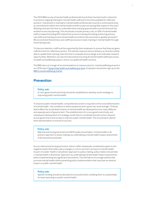The 2019 BMA survey of mental health professionals found there has been both a reduction in access to ongoing training for mental health staff and in the time available for reflective practice.<sup>9</sup> Investment in training for mental health professionals must be a continued priority, as commitments within the mental health workforce plan are having little impact in this area.<sup>9</sup> Allowing clinicians the time to undertake these training opportunities must be factored into workforce and rota planning. This should also include primary care, as 50% of mental health staff surveyed (including GPs) stated that access to training (including enhancing primary care skills and training around mental health promotion) has worsened or greatly worsened.<sup>9</sup> We recommend that primary care staff have access to basic training in mental health through local training hubs.

To improve retention, staff must be supported by their employers to ensure that they are given sufficient time for reflective practice. This will also improve service delivery, as clinicians will be able to update their training, have the time to evaluate service design and undertake research opportunities. Retention can also be improved by ensuring all mental health staff have access to health and wellbeing support, and to occupational health services.

The BMA sets out a range of recommendations to improve doctors' mental wellbeing at work in our 2018 report [Supporting health and wellbeing at work.](https://www.bma.org.uk/collective-voice/policy-and-research/education-training-and-workforce/supporting-health-and-wellbeing-at-work) Employers should also sign up to the [BMA's mental wellbeing charter](https://www.bma.org.uk/collective-voice/policy-and-research/education-training-and-workforce/supporting-the-mental-health-of-doctors-in-the-workforce).

## **Prevention**

#### **Policy ask:**

A cross-government joint body should be established to develop a joint strategy on improving public mental health.

To improve public mental health, comprehensive action is required on the social determinants of mental health - the conditions in which people are born, grow, live, work and age.26 Policies which affect the social determinants of mental health are developed across many different and separate parts of government. The establishment of a cross-government body, and subsequent development of a strategy, would help to coordinate the joint action required across government and society to improve public mental health. This should have cabinetlevel representation to ensure its success.

#### **Policy ask:**

National and local government and NHS bodies should take a 'mental health in all policies' approach to policy making, by undertaking a mental health impact assessment of all new policy proposals.

Across national and local government, there is often inadequate consideration given to the negative impact that wider policy changes or cuts to services can have on mental health. As part of a wider 'health in all policies' approach to policy making, policy makers should take a 'mental health in all policies' approach, by undertaking mental health impact assessments before implementing any significant new policies. This will help to encourage policies that promote mental health whilst preventing policy implementation that may have an adverse impact on public mental health.

#### **Policy ask:**

Specific funding should be allocated to local authorities, enabling them to substantially increase spending on public mental health.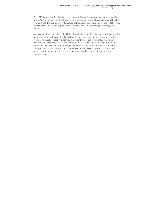The 2018 BMA report *[Tackling the causes – promoting public mental health and investing in](https://www.bma.org.uk/collective-voice/policy-and-research/public-and-population-health/mental-health/promoting-mental-health-and-prevention)  [prevention](https://www.bma.org.uk/collective-voice/policy-and-research/public-and-population-health/mental-health/promoting-mental-health-and-prevention)* found that, although there is some investment in promoting public mental health, spending is far from optimal.<sup>27</sup> In 2018, local authorities in England spent less than 1.6% of their total public health budget on public mental health, with some reporting no spending in this area.26

Much greater investment is required in local public health services that are aimed at promoting mental health, as well as greater clarity about the role and expectations of local authorities in providing these services. It is also vital that recent cuts to public health funding, which have totalled £850 million in real terms since 2015/16,28 are reversed. The government must commit to increased long-term funding for public health that properly meets the needs of local populations. Cuts to public health services can often have a disproportionate impact on people with mental health problems, for example by affecting substance misuse and smoking services.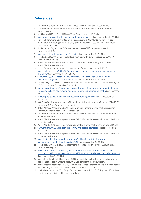## **References**

- 1 NHS Improvement (2019) New clinically-led review of NHS access standards.
- 2 The Independent Mental Health Taskforce (2016) The Five Year Forward View for Mental Health.
- 3 NHS England (2019) The NHS Long Term Plan. London: NHS England.
- 4 [www.longtermplan.nhs.uk/areas-of-work/mental-health/](https://www.longtermplan.nhs.uk/areas-of-work/mental-health/) (last accessed on 6.12.2019).
- 5 House of Commons Committee of Public Accounts (2018) Mental health services for children and young people, Seventy-Second Report of Session 2017–19. London: The Stationery Office.
- 6 Public Health England (2018) Severe mental illness (SMI) and physical health inequalities: briefing.
- 7 [www.mentalhealth.org.uk/a-to-z/s/suicide](http://www.mentalhealth.org.uk/a-to-z/s/suicide) (last accessed on 6.12.2019).
- 8 NHS England (2019) Mental Health Five Year Forward View Dashboard Q3 2018/19. London: NHS England.
- British Medical Association (2019) Mental health workforce in England. London: British Medical Association.
- 10 centreformentalhealth.org.uk/parity-esteem. (last accessed on 6.12.2019).
- 11 [www.england.nhs.uk/2018/08/mental-health-therapists-in-gp-practices-could-be](http://www.england.nhs.uk/2018/08/mental-health-therapists-in-gp-practices-could-be-the-norm/)[the-norm/](http://www.england.nhs.uk/2018/08/mental-health-therapists-in-gp-practices-could-be-the-norm/) (last accessed on 6.12.2019).
- 12 [www.bma.org.uk/collective-voice/influence/key-negotiations/nhs-funding/](http://www.bma.org.uk/collective-voice/influence/key-negotiations/nhs-funding/investment-in-general-practice-in-england) [investment-in-general-practice-in-england](http://www.bma.org.uk/collective-voice/influence/key-negotiations/nhs-funding/investment-in-general-practice-in-england) (last accessed on 6.12.2019).
- 13 Care Quality Commission (2018) The state of health care and adult social care in England 2018/19. London: Care Quality Commission.
- 14 [www.nhsproviders.org/news-blogs/news/the-end-of-parity-of-esteem-patients-face](https://nhsproviders.org/news-blogs/news/the-end-of-parity-of-esteem-patients-face-increasing-risks-as-nhs-funding-announcements-neglect-mental-health)[increasing-risks-as-nhs-funding-announcements-neglect-mental-health](https://nhsproviders.org/news-blogs/news/the-end-of-parity-of-esteem-patients-face-increasing-risks-as-nhs-funding-announcements-neglect-mental-health) (last accessed on 6.12.2019).
- 15 [www.mqmentalhealth.org/articles/research-funding-landscape](http://www.mqmentalhealth.org/articles/research-funding-landscape) (last accessed on 6.12.2019).
- 16 MQ: Transforming Mental Health (2018) UK mental health research funding, 2014-2017. London: MQ: Transforming Mental Health.
- 17 British Medical Association (2018) Lost in Transit: Funding mental health services in England. London: British Medical Association.
- 18 NHS Improvement (2019) New clinically-led review of NHS access standards. London: NHS Improvement.
- 19 British Medical Association press release (07.12.18) New BMA research unveils blindspot in mental healthcare
- 20 Young Minds (2018) A new era for young people's mental health. London: Young Minds.
- 21 [www.england.nhs.uk/clinically-led-review-nhs-access-standards/](https://www.england.nhs.uk/clinically-led-review-nhs-access-standards/) (last accessed on 6.12.2019).
- 22 British Medical Association press release (07.12.18) New BMA research unveils blindspot in mental healthcare.
- 23 [www.digital.nhs.uk/data-and-information/publications/statistical/out-of-area](http://www.digital.nhs.uk/data-and-information/publications/statistical/out-of-area-placements-in-mental-health-services%20)[placements-in-mental-health-services%20](http://www.digital.nhs.uk/data-and-information/publications/statistical/out-of-area-placements-in-mental-health-services%20) (last accessed on 6.12.2019).
- 24 NHS Digital (2019) Out of Area Placements in Mental Health Services, August 2019. London: NHS Digital.
- 25 [www.rcpsych.ac.uk/members/your-monthly-enewsletter/rcpsych-enewsletter](file:///C:\Users\MDavies\AppData\Local\Microsoft\Windows\INetCache\Content.Outlook\9OIS9LFP\www.rcpsych.ac.uk\members\your-monthly-enewsletter\rcpsych-enewsletter-september-2019\choose-psychiatry%3fsearchTerms=choose%20psychiatry%20campaign)[september-2019/choose-psychiatry?searchTerms=choose%20psychiatry%20campaign](file:///C:\Users\MDavies\AppData\Local\Microsoft\Windows\INetCache\Content.Outlook\9OIS9LFP\www.rcpsych.ac.uk\members\your-monthly-enewsletter\rcpsych-enewsletter-september-2019\choose-psychiatry%3fsearchTerms=choose%20psychiatry%20campaign) (last accessed on 6.12.2019).
- 26 Marmot M, Allen J, Goldblatt P et al (2010) Fair society, healthy lives: strategic review of health inequalities in England post 2010. London: Marmot Review Team.
- 27 British Medical Association (2018) Tackling the causes promoting public mental health and investing in prevention. London: British Medical Association.
- 28 Health Foundation and The King's Fund press release (12.06.2019) Urgent call for £1bn a year to reverse cuts to public health funding